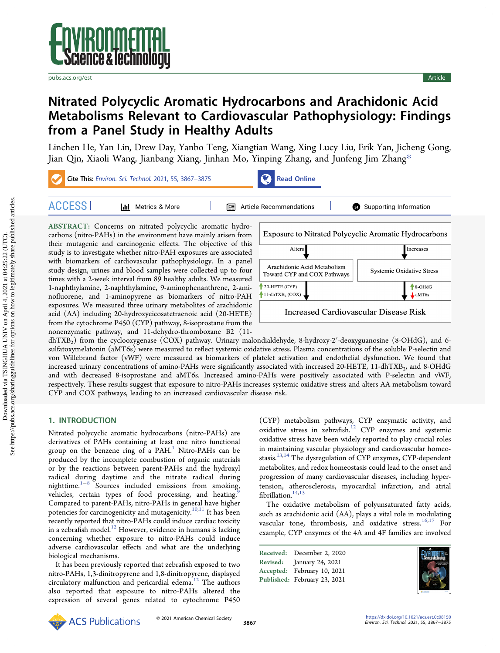

[pubs.acs.org/est](pubs.acs.org/est?ref=pdf) **Article** 

# Nitrated Polycyclic Aromatic Hydrocarbons and Arachidonic Acid Metabolisms Relevant to Cardiovascular Pathophysiology: Findings from a Panel Study in Healthy Adults

[Linchen He,](https://pubs.acs.org/action/doSearch?field1=Contrib&text1="Linchen+He"&field2=AllField&text2=&publication=&accessType=allContent&Earliest=&ref=pdf) [Yan Lin,](https://pubs.acs.org/action/doSearch?field1=Contrib&text1="Yan+Lin"&field2=AllField&text2=&publication=&accessType=allContent&Earliest=&ref=pdf) [Drew Day,](https://pubs.acs.org/action/doSearch?field1=Contrib&text1="Drew+Day"&field2=AllField&text2=&publication=&accessType=allContent&Earliest=&ref=pdf) [Yanbo Teng,](https://pubs.acs.org/action/doSearch?field1=Contrib&text1="Yanbo+Teng"&field2=AllField&text2=&publication=&accessType=allContent&Earliest=&ref=pdf) [Xiangtian Wang,](https://pubs.acs.org/action/doSearch?field1=Contrib&text1="Xiangtian+Wang"&field2=AllField&text2=&publication=&accessType=allContent&Earliest=&ref=pdf) [Xing Lucy Liu,](https://pubs.acs.org/action/doSearch?field1=Contrib&text1="Xing+Lucy+Liu"&field2=AllField&text2=&publication=&accessType=allContent&Earliest=&ref=pdf) [Erik Yan,](https://pubs.acs.org/action/doSearch?field1=Contrib&text1="Erik+Yan"&field2=AllField&text2=&publication=&accessType=allContent&Earliest=&ref=pdf) [Jicheng Gong,](https://pubs.acs.org/action/doSearch?field1=Contrib&text1="Jicheng+Gong"&field2=AllField&text2=&publication=&accessType=allContent&Earliest=&ref=pdf) [Jian Qin,](https://pubs.acs.org/action/doSearch?field1=Contrib&text1="Jian+Qin"&field2=AllField&text2=&publication=&accessType=allContent&Earliest=&ref=pdf) [Xiaoli Wang,](https://pubs.acs.org/action/doSearch?field1=Contrib&text1="Xiaoli+Wang"&field2=AllField&text2=&publication=&accessType=allContent&Earliest=&ref=pdf) [Jianbang Xiang,](https://pubs.acs.org/action/doSearch?field1=Contrib&text1="Jianbang+Xiang"&field2=AllField&text2=&publication=&accessType=allContent&Earliest=&ref=pdf) [Jinhan Mo,](https://pubs.acs.org/action/doSearch?field1=Contrib&text1="Jinhan+Mo"&field2=AllField&text2=&publication=&accessType=allContent&Earliest=&ref=pdf) [Yinping Zhang,](https://pubs.acs.org/action/doSearch?field1=Contrib&text1="Yinping+Zhang"&field2=AllField&text2=&publication=&accessType=allContent&Earliest=&ref=pdf) [and Junfeng Jim Zhang](https://pubs.acs.org/action/doSearch?field1=Contrib&text1="Junfeng+Jim+Zhang"&field2=AllField&text2=&publication=&accessType=allContent&Earliest=&ref=pdf)[\\*](#page-5-0)



nonenzymatic pathway, and 11-dehydro-thromboxane B2 (11 dhTXB2) from the cyclooxygenase (COX) pathway. Urinary malondialdehyde, 8-hydroxy-2′-deoxyguanosine (8-OHdG), and 6 sulfatoxymelatonin (aMT6s) were measured to reflect systemic oxidative stress. Plasma concentrations of the soluble P-selectin and von Willebrand factor (vWF) were measured as biomarkers of platelet activation and endothelial dysfunction. We found that increased urinary concentrations of amino-PAHs were significantly associated with increased 20-HETE, 11-dhTXB<sub>2</sub>, and 8-OHdG and with decreased 8-isoprostane and aMT6s. Increased amino-PAHs were positively associated with P-selectin and vWF, respectively. These results suggest that exposure to nitro-PAHs increases systemic oxidative stress and alters AA metabolism toward CYP and COX pathways, leading to an increased cardiovascular disease risk.

# 1. INTRODUCTION

Nitrated polycyclic aromatic hydrocarbons (nitro-PAHs) are derivatives of PAHs containing at least one nitro functional group on the benzene ring of a  $PAH<sup>1</sup>$  Nitro-PAHs can be produced by the incomplete combustion of organic materials or by the reactions between parent-PAHs and the hydroxyl radical during daytime and the nitrate radical during nighttime.<sup>[1](#page-6-0)−[8](#page-6-0)</sup> Sources included emissions from smoking, vehicles, certain types of food processing, and heating.<sup>[9](#page-6-0)</sup> Compared to parent-PAHs, nitro-PAHs in general have higher potencies for carcinogenicity and mutagenicity.<sup>10,[11](#page-6-0)</sup> It has been recently reported that nitro-PAHs could induce cardiac toxicity in a zebrafish model.<sup>[12](#page-6-0)</sup> However, evidence in humans is lacking concerning whether exposure to nitro-PAHs could induce adverse cardiovascular effects and what are the underlying biological mechanisms.

from the cytochrome P450 (CYP) pathway, 8-isoprostane from the

It has been previously reported that zebrafish exposed to two nitro-PAHs, 1,3-dinitropyrene and 1,8-dinitropyrene, displayed circulatory malfunction and pericardial edema.<sup>[12](#page-6-0)</sup> The authors also reported that exposure to nitro-PAHs altered the expression of several genes related to cytochrome P450

(CYP) metabolism pathways, CYP enzymatic activity, and oxidative stress in zebrafish.[12](#page-6-0) CYP enzymes and systemic oxidative stress have been widely reported to play crucial roles in maintaining vascular physiology and cardiovascular homeostasis.[13](#page-6-0),[14](#page-6-0) The dysregulation of CYP enzymes, CYP-dependent metabolites, and redox homeostasis could lead to the onset and progression of many cardiovascular diseases, including hypertension, atherosclerosis, myocardial infarction, and atrial fibrillation.<sup>[14,15](#page-6-0)</sup>

The oxidative metabolism of polyunsaturated fatty acids, such as arachidonic acid (AA), plays a vital role in modulating vascular tone, thrombosis, and oxidative stress.[16](#page-6-0),[17](#page-6-0) For example, CYP enzymes of the 4A and 4F families are involved

Received: December 2, 2020 Revised: January 24, 2021 Accepted: February 10, 2021 Published: February 23, 2021

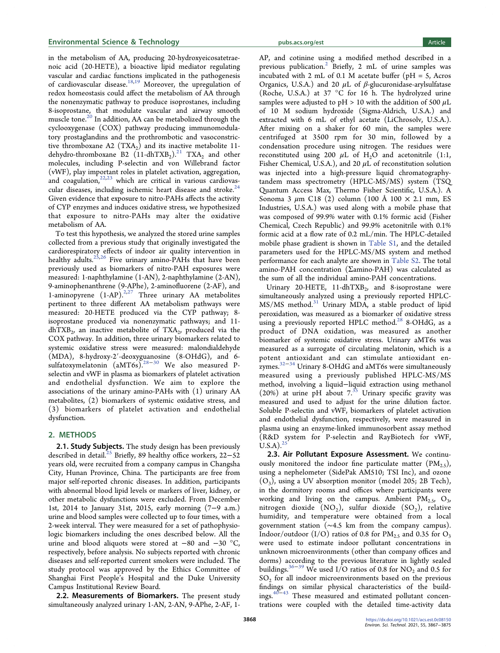### Environmental Science & Technology and the [pubs.acs.org/est](pubs.acs.org/est?ref=pdf) and the pubs.acs.org/est Article

in the metabolism of AA, producing 20-hydroxyeicosatetraenoic acid (20-HETE), a bioactive lipid mediator regulating vascular and cardiac functions implicated in the pathogenesis of cardiovascular disease.<sup>[18,19](#page-6-0)</sup> Moreover, the upregulation of redox homeostasis could affect the metabolism of AA through the nonenzymatic pathway to produce isoprostanes, including 8-isoprostane, that modulate vascular and airway smooth muscle tone.<sup>[20](#page-6-0)</sup> In addition, AA can be metabolized through the cyclooxygenase (COX) pathway producing immunomodulatory prostaglandins and the prothrombotic and vasoconstrictive thromboxane A2 (TXA<sub>2</sub>) and its inactive metabolite 11dehydro-thromboxane B2  $(11$ -dhTXB<sub>2</sub>).<sup>[21](#page-6-0)</sup> TXA<sub>2</sub> and other molecules, including P-selectin and von Willebrand factor (vWF), play important roles in platelet activation, aggregation, and coagulation, $22,23$  $22,23$  $22,23$  which are critical in various cardiovascular diseases, including ischemic heart disease and stroke. $24$ Given evidence that exposure to nitro-PAHs affects the activity of CYP enzymes and induces oxidative stress, we hypothesized that exposure to nitro-PAHs may alter the oxidative metabolism of AA.

To test this hypothesis, we analyzed the stored urine samples collected from a previous study that originally investigated the cardiorespiratory effects of indoor air quality intervention in healthy adults.<sup>[25](#page-6-0),[26](#page-6-0)</sup> Five urinary amino-PAHs that have been previously used as biomarkers of nitro-PAH exposures were measured: 1-naphthylamine (1-AN), 2-naphthylamine (2-AN), 9-aminophenanthrene (9-APhe), 2-aminofluorene (2-AF), and 1-aminopyrene  $(1-AP)$ .<sup>[2](#page-6-0),[27](#page-6-0)</sup> Three urinary AA metabolites pertinent to three different AA metabolism pathways were measured: 20-HETE produced via the CYP pathway; 8 isoprostane produced via nonenzymatic pathways; and 11  $dhTXB<sub>2</sub>$ , an inactive metabolite of  $TXA<sub>2</sub>$ , produced via the COX pathway. In addition, three urinary biomarkers related to systemic oxidative stress were measured: malondialdehyde (MDA), 8-hydroxy-2′-deoxyguanosine (8-OHdG), and 6 sulfatoxymelatonin (aMT6s).[28](#page-6-0)−[30](#page-6-0) We also measured Pselectin and vWF in plasma as biomarkers of platelet activation and endothelial dysfunction. We aim to explore the associations of the urinary amino-PAHs with (1) urinary AA metabolites, (2) biomarkers of systemic oxidative stress, and (3) biomarkers of platelet activation and endothelial dysfunction.

### 2. METHODS

2.1. Study Subjects. The study design has been previously described in detail[.25](#page-6-0) Briefly, 89 healthy office workers, 22−52 years old, were recruited from a company campus in Changsha City, Hunan Province, China. The participants are free from major self-reported chronic diseases. In addition, participants with abnormal blood lipid levels or markers of liver, kidney, or other metabolic dysfunctions were excluded. From December 1st, 2014 to January 31st, 2015, early morning (7−9 a.m.) urine and blood samples were collected up to four times, with a 2-week interval. They were measured for a set of pathophysiologic biomarkers including the ones described below. All the urine and blood aliquots were stored at −80 and −30 °C, respectively, before analysis. No subjects reported with chronic diseases and self-reported current smokers were included. The study protocol was approved by the Ethics Committee of Shanghai First People's Hospital and the Duke University Campus Institutional Review Board.

2.2. Measurements of Biomarkers. The present study simultaneously analyzed urinary 1-AN, 2-AN, 9-APhe, 2-AF, 1AP, and cotinine using a modified method described in a previous publication.[2](#page-6-0) Briefly, 2 mL of urine samples was incubated with 2 mL of 0.1 M acetate buffer ( $pH = 5$ , Acros Organics, U.S.A.) and 20  $\mu$ L of  $\beta$ -glucuronidase-arylsulfatase (Roche, U.S.A.) at 37 °C for 16 h. The hydrolyzed urine samples were adjusted to  $pH > 10$  with the addition of 500  $\mu$ L of 10 M sodium hydroxide (Sigma-Aldrich, U.S.A.) and extracted with 6 mL of ethyl acetate (LiChrosolv, U.S.A.). After mixing on a shaker for 60 min, the samples were centrifuged at 3500 rpm for 30 min, followed by a condensation procedure using nitrogen. The residues were reconstituted using 200  $\mu$ L of H<sub>2</sub>O and acetonitrile (1:1, Fisher Chemical, U.S.A.), and 20  $\mu$ L of reconstitution solution was injected into a high-pressure liquid chromatographytandem mass spectrometry (HPLC-MS/MS) system (TSQ Quantum Access Max, Thermo Fisher Scientific, U.S.A.). A Sonoma 3  $\mu$ m C18 (2) column (100 Å 100 × 2.1 mm, ES Industries, U.S.A.) was used along with a mobile phase that was composed of 99.9% water with 0.1% formic acid (Fisher Chemical, Czech Republic) and 99.9% acetonitrile with 0.1% formic acid at a flow rate of 0.2 mL/min. The HPLC-detailed mobile phase gradient is shown in [Table S1](http://pubs.acs.org/doi/suppl/10.1021/acs.est.0c08150/suppl_file/es0c08150_si_001.pdf), and the detailed parameters used for the HPLC-MS/MS system and method performance for each analyte are shown in [Table S2](http://pubs.acs.org/doi/suppl/10.1021/acs.est.0c08150/suppl_file/es0c08150_si_001.pdf). The total amino-PAH concentration (Σamino-PAH) was calculated as the sum of all the individual amino-PAH concentrations.

Urinary 20-HETE, 11-dhTXB<sub>2</sub>, and 8-isoprostane were simultaneously analyzed using a previously reported HPLC-MS/MS method.<sup>[31](#page-6-0)</sup> Urinary MDA, a stable product of lipid peroxidation, was measured as a biomarker of oxidative stress using a previously reported HPLC method.<sup>[28](#page-6-0)</sup> 8-OHdG, as a product of DNA oxidation, was measured as another biomarker of systemic oxidative stress. Urinary aMT6s was measured as a surrogate of circulating melatonin, which is a potent antioxidant and can stimulate antioxidant enzymes.[32](#page-6-0)<sup>−</sup>[34](#page-7-0) Urinary 8-OHdG and aMT6s were simultaneously measured using a previously published HPLC-MS/MS method, involving a liquid−liquid extraction using methanol (20%) at urine pH about  $7^{35}$  $7^{35}$  $7^{35}$  Urinary specific gravity was measured and used to adjust for the urine dilution factor. Soluble P-selectin and vWF, biomarkers of platelet activation and endothelial dysfunction, respectively, were measured in plasma using an enzyme-linked immunosorbent assay method (R&D system for P-selectin and RayBiotech for vWF,  $U.S.A$ )<sup>[25](#page-6-0)</sup>

2.3. Air Pollutant Exposure Assessment. We continuously monitored the indoor fine particulate matter  $(PM_2, \zeta)$ , using a nephelometer (SidePak AM510; TSI Inc), and ozone  $(O_3)$ , using a UV absorption monitor (model 205; 2B Tech), in the dormitory rooms and offices where participants were working and living on the campus. Ambient  $PM_{2.5}$ ,  $O_3$ , nitrogen dioxide  $(NO<sub>2</sub>)$ , sulfur dioxide  $(SO<sub>2</sub>)$ , relative humidity, and temperature were obtained from a local government station (∼4.5 km from the company campus). Indoor/outdoor (I/O) ratios of 0.8 for  $PM_{2.5}$  and 0.35 for  $O_3$ were used to estimate indoor pollutant concentrations in unknown microenvironments (other than company offices and dorms) according to the previous literature in lightly sealed buildings.[36](#page-7-0)−[39](#page-7-0) We used I/O ratios of 0.8 for NO2 and 0.5 for  $SO<sub>2</sub>$  for all indoor microenvironments based on the previous findings on similar physical characteristics of the buildings.[40](#page-7-0)−[43](#page-7-0) These measured and estimated pollutant concentrations were coupled with the detailed time-activity data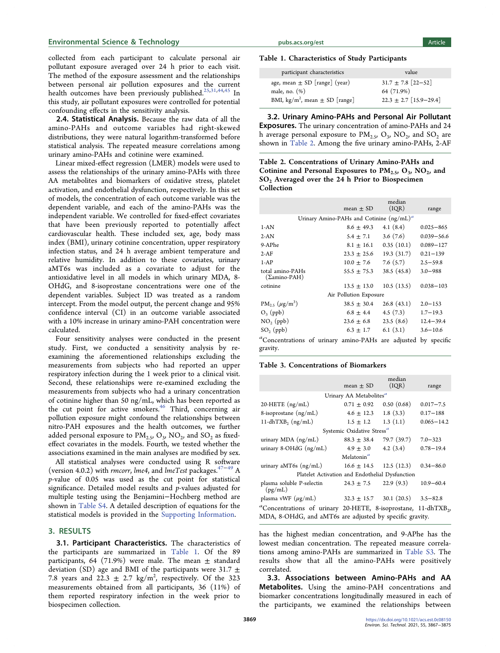### Environmental Science & Technology environmental Science & Technology [pubs.acs.org/est](pubs.acs.org/est?ref=pdf) and pubs.acs.org/est Article

collected from each participant to calculate personal air pollutant exposure averaged over 24 h prior to each visit. The method of the exposure assessment and the relationships between personal air pollution exposures and the current health outcomes have been previously published.<sup>[25](#page-6-0),[31](#page-6-0)[,44](#page-7-0),[45](#page-7-0)</sup> In this study, air pollutant exposures were controlled for potential confounding effects in the sensitivity analysis.

2.4. Statistical Analysis. Because the raw data of all the amino-PAHs and outcome variables had right-skewed distributions, they were natural logarithm-transformed before statistical analysis. The repeated measure correlations among urinary amino-PAHs and cotinine were examined.

Linear mixed-effect regression (LMER) models were used to assess the relationships of the urinary amino-PAHs with three AA metabolites and biomarkers of oxidative stress, platelet activation, and endothelial dysfunction, respectively. In this set of models, the concentration of each outcome variable was the dependent variable, and each of the amino-PAHs was the independent variable. We controlled for fixed-effect covariates that have been previously reported to potentially affect cardiovascular health. These included sex, age, body mass index (BMI), urinary cotinine concentration, upper respiratory infection status, and 24 h average ambient temperature and relative humidity. In addition to these covariates, urinary aMT6s was included as a covariate to adjust for the antioxidative level in all models in which urinary MDA, 8- OHdG, and 8-isoprostane concentrations were one of the dependent variables. Subject ID was treated as a random intercept. From the model output, the percent change and 95% confidence interval (CI) in an outcome variable associated with a 10% increase in urinary amino-PAH concentration were calculated.

Four sensitivity analyses were conducted in the present study. First, we conducted a sensitivity analysis by reexamining the aforementioned relationships excluding the measurements from subjects who had reported an upper respiratory infection during the 1 week prior to a clinical visit. Second, these relationships were re-examined excluding the measurements from subjects who had a urinary concentration of cotinine higher than 50 ng/mL, which has been reported as the cut point for active smokers.<sup>[46](#page-7-0)</sup> Third, concerning air pollution exposure might confound the relationships between nitro-PAH exposures and the health outcomes, we further added personal exposure to  $PM_{2.5}$ ,  $O_3$ ,  $NO_2$ , and  $SO_2$  as fixedeffect covariates in the models. Fourth, we tested whether the associations examined in the main analyses are modified by sex.

All statistical analyses were conducted using R software (version 4.0.2) with rmcorr, lme4, and lmeTest packages[.47](#page-7-0)<sup>−</sup>[49](#page-7-0) A p-value of 0.05 was used as the cut point for statistical significance. Detailed model results and  $p$ -values adjusted for multiple testing using the Benjamini−Hochberg method are shown in [Table S4.](http://pubs.acs.org/doi/suppl/10.1021/acs.est.0c08150/suppl_file/es0c08150_si_001.pdf) A detailed description of equations for the statistical models is provided in the [Supporting Information](http://pubs.acs.org/doi/suppl/10.1021/acs.est.0c08150/suppl_file/es0c08150_si_001.pdf).

#### 3. RESULTS

3.1. Participant Characteristics. The characteristics of the participants are summarized in Table 1. Of the 89 participants, 64 (71.9%) were male. The mean  $\pm$  standard deviation (SD) age and BMI of the participants were 31.7  $\pm$ 7.8 years and  $22.3 \pm 2.7$  kg/m<sup>2</sup>, respectively. Of the 323 measurements obtained from all participants, 36 (11%) of them reported respiratory infection in the week prior to biospecimen collection.

### Table 1. Characteristics of Study Participants

| value                                    |
|------------------------------------------|
| $31.7 \pm 7.8$ [22-52]                   |
| 64 (71.9%)<br>$22.3 \pm 2.7$ [15.9-29.4] |
|                                          |

3.2. Urinary Amino-PAHs and Personal Air Pollutant Exposures. The urinary concentration of amino-PAHs and 24 h average personal exposure to  $PM_{2.5}$ ,  $O_3$ ,  $NO_2$ , and  $SO_2$  are shown in Table 2. Among the five urinary amino-PAHs, 2-AF

Table 2. Concentrations of Urinary Amino-PAHs and Cotinine and Personal Exposures to  $PM<sub>2.5</sub>$ ,  $O<sub>3</sub>$ ,  $NO<sub>2</sub>$ , and  $SO<sub>2</sub>$  Averaged over the 24 h Prior to Biospecimen Collection

|                                                                            |  | mean $\pm$ SD          | median<br>(IQR) | range          |  |
|----------------------------------------------------------------------------|--|------------------------|-----------------|----------------|--|
| Urinary Amino-PAHs and Cotinine $(ng/mL)^a$                                |  |                        |                 |                |  |
| $1-AN$                                                                     |  | $8.6 \pm 49.3$         | 4.1 $(8.4)$     | $0.025 - 865$  |  |
| $2-AN$                                                                     |  | $5.4 \pm 7.1$          | 3.6(7.6)        | $0.039 - 56.6$ |  |
| 9-APhe                                                                     |  | $8.1 \pm 16.1$         | 0.35(10.1)      | $0.089 - 127$  |  |
| $2-AF$                                                                     |  | $23.3 \pm 25.6$        | 19.3(31.7)      | $0.21 - 139$   |  |
| $1-AP$                                                                     |  | $10.0 \pm 7.6$         | 7.6(5.7)        | $2.5 - 59.8$   |  |
| total amino-PAHs<br>$(\Sigma$ amino-PAH)                                   |  | $55.5 \pm 75.3$        | 38.5(45.8)      | $3.0 - 988$    |  |
| cotinine                                                                   |  | $13.5 \pm 13.0$        | 10.5(13.5)      | $0.038 - 103$  |  |
|                                                                            |  | Air Pollution Exposure |                 |                |  |
| $PM_{2.5} (\mu g/m^3)$                                                     |  | $38.5 \pm 30.4$        | 26.8(43.1)      | $2.0 - 153$    |  |
| $O_3$ (ppb)                                                                |  | $6.8 \pm 4.4$          | 4.5 $(7.3)$     | $1.7 - 19.3$   |  |
| $NO2$ (ppb)                                                                |  | $23.6 \pm 6.8$         | 23.5(8.6)       | $12.4 - 39.4$  |  |
| $SO2$ (ppb)                                                                |  | $6.3 \pm 1.7$          | 6.1(3.1)        | $3.6 - 10.6$   |  |
| <sup>a</sup> Concentrations of urinary amino-PAHs are adjusted by specific |  |                        |                 |                |  |

gravity.

### Table 3. Concentrations of Biomarkers

|                                                                                                                                                    | mean $\pm$ SD   | median<br>(IQR)                      | range          |  |  |  |
|----------------------------------------------------------------------------------------------------------------------------------------------------|-----------------|--------------------------------------|----------------|--|--|--|
| Urinary AA Metabolites <sup>a</sup>                                                                                                                |                 |                                      |                |  |  |  |
| $20$ -HETE $(ng/mL)$                                                                                                                               | $0.71 \pm 0.92$ | 0.50(0.68)                           | $0.017 - 7.5$  |  |  |  |
| 8-isoprostane $(ng/mL)$                                                                                                                            | $4.6 \pm 12.3$  | 1.8(3.3)                             | $0.17 - 188$   |  |  |  |
| 11-dh $TXB_2$ (ng/mL)                                                                                                                              | $1.5 \pm 1.2$   | 1.3(1.1)                             | $0.065 - 14.2$ |  |  |  |
| Systemic Oxidative Stress <sup>a</sup>                                                                                                             |                 |                                      |                |  |  |  |
| urinary MDA $(ng/mL)$                                                                                                                              | $88.3 \pm 38.4$ | 79.7 (39.7)                          | $7.0 - 323$    |  |  |  |
| urinary 8-OHdG $(ng/mL)$                                                                                                                           | $4.9 \pm 3.0$   | 4.2(3.4)                             | $0.78 - 19.4$  |  |  |  |
| Melatonin <sup>a</sup>                                                                                                                             |                 |                                      |                |  |  |  |
| urinary aMT6s $(ng/mL)$                                                                                                                            | $16.6 \pm 14.5$ | 12.5(12.3)                           | $0.34 - 86.0$  |  |  |  |
| Platelet Activation and Endothelial Dysfunction                                                                                                    |                 |                                      |                |  |  |  |
| plasma soluble P-selectin<br>(pg/mL)                                                                                                               | $24.3 \pm 7.5$  | 22.9(9.3)                            | $10.9 - 60.4$  |  |  |  |
| plasma vWF $(\mu g/mL)$                                                                                                                            |                 | $32.3 \pm 15.7$ 30.1 (20.5) 3.5-82.8 |                |  |  |  |
| <sup>a</sup> Concentrations of urinary 20-HETE, 8-isoprostane, 11-dhTXB <sub>2</sub> ,<br>MDA, 8-OHdG, and aMT6s are adjusted by specific gravity. |                 |                                      |                |  |  |  |
|                                                                                                                                                    |                 |                                      |                |  |  |  |

has the highest median concentration, and 9-APhe has the lowest median concentration. The repeated measure correlations among amino-PAHs are summarized in [Table S3.](http://pubs.acs.org/doi/suppl/10.1021/acs.est.0c08150/suppl_file/es0c08150_si_001.pdf) The results show that all the amino-PAHs were positively correlated.

3.3. Associations between Amino-PAHs and AA Metabolites. Using the amino-PAH concentrations and biomarker concentrations longitudinally measured in each of the participants, we examined the relationships between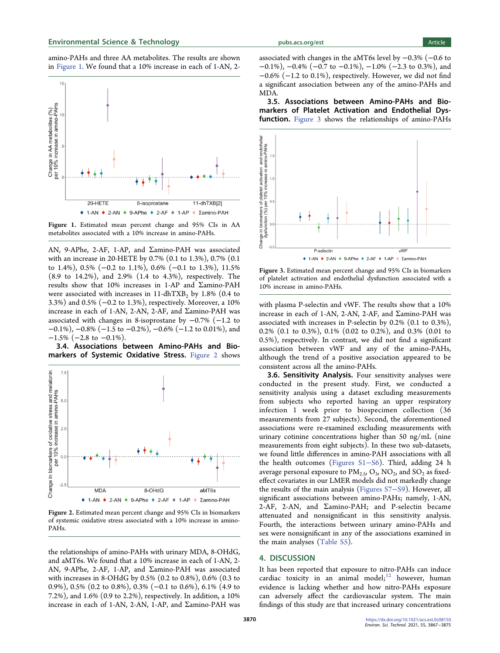amino-PAHs and three AA metabolites. The results are shown in Figure 1. We found that a 10% increase in each of 1-AN, 2-



Figure 1. Estimated mean percent change and 95% CIs in AA metabolites associated with a 10% increase in amino-PAHs.

AN, 9-APhe, 2-AF, 1-AP, and Σamino-PAH was associated with an increase in 20-HETE by 0.7% (0.1 to 1.3%), 0.7% (0.1 to 1.4%), 0.5% (−0.2 to 1.1%), 0.6% (−0.1 to 1.3%), 11.5% (8.9 to 14.2%), and 2.9% (1.4 to 4.3%), respectively. The results show that 10% increases in 1-AP and Σamino-PAH were associated with increases in  $11$ -dhTXB<sub>2</sub> by  $1.8\%$  (0.4 to 3.3%) and 0.5% (−0.2 to 1.3%), respectively. Moreover, a 10% increase in each of 1-AN, 2-AN, 2-AF, and Σamino-PAH was associated with changes in 8-isoprostane by −0.7% (−1.2 to  $-0.1\%$ ),  $-0.8\%$  ( $-1.5$  to  $-0.2\%$ ),  $-0.6\%$  ( $-1.2$  to  $0.01\%$ ), and  $-1.5\%$  ( $-2.8$  to  $-0.1\%$ ).

3.4. Associations between Amino-PAHs and Biomarkers of Systemic Oxidative Stress. Figure 2 shows



Figure 2. Estimated mean percent change and 95% CIs in biomarkers of systemic oxidative stress associated with a 10% increase in amino-PAHs.

the relationships of amino-PAHs with urinary MDA, 8-OHdG, and aMT6s. We found that a 10% increase in each of 1-AN, 2- AN, 9-APhe, 2-AF, 1-AP, and Σamino-PAH was associated with increases in 8-OHdG by 0.5% (0.2 to 0.8%), 0.6% (0.3 to 0.9%), 0.5% (0.2 to 0.8%), 0.3% (−0.1 to 0.6%), 6.1% (4.9 to 7.2%), and 1.6% (0.9 to 2.2%), respectively. In addition, a 10% increase in each of 1-AN, 2-AN, 1-AP, and Σamino-PAH was associated with changes in the aMT6s level by −0.3% (−0.6 to −0.1%), −0.4% (−0.7 to −0.1%), −1.0% (−2.3 to 0.3%), and −0.6% (−1.2 to 0.1%), respectively. However, we did not find a significant association between any of the amino-PAHs and MDA.

3.5. Associations between Amino-PAHs and Biomarkers of Platelet Activation and Endothelial Dysfunction. Figure 3 shows the relationships of amino-PAHs



Figure 3. Estimated mean percent change and 95% CIs in biomarkers of platelet activation and endothelial dysfunction associated with a 10% increase in amino-PAHs.

with plasma P-selectin and vWF. The results show that a 10% increase in each of 1-AN, 2-AN, 2-AF, and Σamino-PAH was associated with increases in P-selectin by 0.2% (0.1 to 0.3%), 0.2% (0.1 to 0.3%), 0.1% (0.02 to 0.2%), and 0.3% (0.01 to 0.5%), respectively. In contrast, we did not find a significant association between vWF and any of the amino-PAHs, although the trend of a positive association appeared to be consistent across all the amino-PAHs.

3.6. Sensitivity Analysis. Four sensitivity analyses were conducted in the present study. First, we conducted a sensitivity analysis using a dataset excluding measurements from subjects who reported having an upper respiratory infection 1 week prior to biospecimen collection (36 measurements from 27 subjects). Second, the aforementioned associations were re-examined excluding measurements with urinary cotinine concentrations higher than 50 ng/mL (nine measurements from eight subjects). In these two sub-datasets, we found little differences in amino-PAH associations with all the health outcomes ([Figures S1](http://pubs.acs.org/doi/suppl/10.1021/acs.est.0c08150/suppl_file/es0c08150_si_001.pdf)−S6). Third, adding 24 h average personal exposure to  $PM_{2.5}$ ,  $O_3$ ,  $NO_2$ , and  $SO_2$  as fixedeffect covariates in our LMER models did not markedly change the results of the main analysis [\(Figures S7](http://pubs.acs.org/doi/suppl/10.1021/acs.est.0c08150/suppl_file/es0c08150_si_001.pdf)−S9). However, all significant associations between amino-PAHs; namely, 1-AN, 2-AF, 2-AN, and Σamino-PAH; and P-selectin became attenuated and nonsignificant in this sensitivity analysis. Fourth, the interactions between urinary amino-PAHs and sex were nonsignificant in any of the associations examined in the main analyses [\(Table S5](http://pubs.acs.org/doi/suppl/10.1021/acs.est.0c08150/suppl_file/es0c08150_si_001.pdf)).

### 4. DISCUSSION

It has been reported that exposure to nitro-PAHs can induce cardiac toxicity in an animal model; $12$  however, human evidence is lacking whether and how nitro-PAHs exposure can adversely affect the cardiovascular system. The main findings of this study are that increased urinary concentrations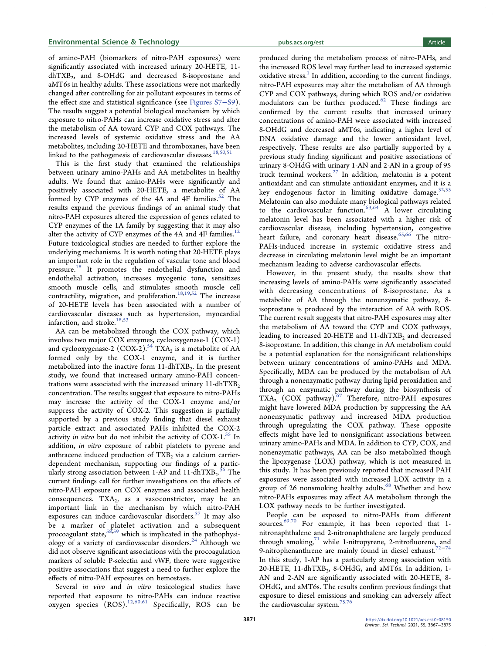### Environmental Science & Technology [pubs.acs.org/est](pubs.acs.org/est?ref=pdf) Article

of amino-PAH (biomarkers of nitro-PAH exposures) were significantly associated with increased urinary 20-HETE, 11 dhTXB<sub>2</sub>, and 8-OHdG and decreased 8-isoprostane and aMT6s in healthy adults. These associations were not markedly changed after controlling for air pollutant exposures in terms of the effect size and statistical significance (see [Figures S7](http://pubs.acs.org/doi/suppl/10.1021/acs.est.0c08150/suppl_file/es0c08150_si_001.pdf)−S9). The results suggest a potential biological mechanism by which exposure to nitro-PAHs can increase oxidative stress and alter the metabolism of AA toward CYP and COX pathways. The increased levels of systemic oxidative stress and the AA metabolites, including 20-HETE and thromboxanes, have been linked to the pathogenesis of cardiovascular diseases.<sup>18,[50,51](#page-7-0)</sup>

This is the first study that examined the relationships between urinary amino-PAHs and AA metabolites in healthy adults. We found that amino-PAHs were significantly and positively associated with 20-HETE, a metabolite of AA formed by CYP enzymes of the 4A and 4F families.<sup>52</sup> The results expand the previous findings of an animal study that nitro-PAH exposures altered the expression of genes related to CYP enzymes of the 1A family by suggesting that it may also alter the activity of CYP enzymes of the  $4A$  and  $4F$  families.<sup>12</sup> Future toxicological studies are needed to further explore the underlying mechanisms. It is worth noting that 20-HETE plays an important role in the regulation of vascular tone and blood pressure.<sup>[18](#page-6-0)</sup> It promotes the endothelial dysfunction and endothelial activation, increases myogenic tone, sensitizes smooth muscle cells, and stimulates smooth muscle cell contractility, migration, and proliferation.<sup>[18](#page-6-0),[19](#page-6-0)[,52](#page-7-0)</sup> The increase of 20-HETE levels has been associated with a number of cardiovascular diseases such as hypertension, myocardial infarction, and stroke. $^{18,53}$  $^{18,53}$  $^{18,53}$  $^{18,53}$  $^{18,53}$ 

AA can be metabolized through the COX pathway, which involves two major COX enzymes, cyclooxygenase-1 (COX-1) and cyclooxygenase-2 (COX-2).<sup>54</sup> TXA<sub>2</sub> is a metabolite of AA formed only by the COX-1 enzyme, and it is further metabolized into the inactive form  $11$ -dhTXB<sub>2</sub>. In the present study, we found that increased urinary amino-PAH concentrations were associated with the increased urinary  $11$ -dhTXB<sub>2</sub> concentration. The results suggest that exposure to nitro-PAHs may increase the activity of the COX-1 enzyme and/or suppress the activity of COX-2. This suggestion is partially supported by a previous study finding that diesel exhaust particle extract and associated PAHs inhibited the COX-2 activity *in vitro* but do not inhibit the activity of  $COX-1$ <sup>[55](#page-7-0)</sup> In addition, in vitro exposure of rabbit platelets to pyrene and anthracene induced production of  $TXB<sub>2</sub>$  via a calcium carrierdependent mechanism, supporting our findings of a particularly strong association between 1-AP and  $11$ -dhTXB<sub>2</sub>.<sup>[56](#page-7-0)</sup> The current findings call for further investigations on the effects of nitro-PAH exposure on COX enzymes and associated health consequences.  $TXA<sub>2</sub>$ , as a vasoconstrictor, may be an important link in the mechanism by which nitro-PAH exposures can induce cardiovascular disorders.<sup>[57](#page-7-0)</sup> It may also be a marker of platelet activation and a subsequent procoagulant state,  $58,59$  $58,59$  $58,59$  which is implicated in the pathophysi-ology of a variety of cardiovascular disorders.<sup>[24](#page-6-0)</sup> Although we did not observe significant associations with the procoagulation markers of soluble P-selectin and vWF, there were suggestive positive associations that suggest a need to further explore the effects of nitro-PAH exposures on hemostasis.

Several in vivo and in vitro toxicological studies have reported that exposure to nitro-PAHs can induce reactive  $\alpha$ ygen species (ROS).<sup>[12,](#page-6-0)[60,61](#page-7-0)</sup> Specifically, ROS can be

produced during the metabolism process of nitro-PAHs, and the increased ROS level may further lead to increased systemic oxidative stress.<sup>[1](#page-6-0)</sup> In addition, according to the current findings, nitro-PAH exposures may alter the metabolism of AA through CYP and COX pathways, during which ROS and/or oxidative modulators can be further produced. $62$  These findings are confirmed by the current results that increased urinary concentrations of amino-PAH were associated with increased 8-OHdG and decreased aMT6s, indicating a higher level of DNA oxidative damage and the lower antioxidant level, respectively. These results are also partially supported by a previous study finding significant and positive associations of urinary 8-OHdG with urinary 1-AN and 2-AN in a group of 95 truck terminal workers.[27](#page-6-0) In addition, melatonin is a potent antioxidant and can stimulate antioxidant enzymes, and it is a key endogenous factor in limiting oxidative damage. $32,33$ Melatonin can also modulate many biological pathways related to the cardiovascular function.<sup>[63](#page-7-0),[64](#page-7-0)</sup> A lower circulating melatonin level has been associated with a higher risk of cardiovascular disease, including hypertension, congestive heart failure, and coronary heart disease.<sup>[65,66](#page-7-0)</sup> The nitro-PAHs-induced increase in systemic oxidative stress and decrease in circulating melatonin level might be an important mechanism leading to adverse cardiovascular effects.

However, in the present study, the results show that increasing levels of amino-PAHs were significantly associated with decreasing concentrations of 8-isoprostane. As a metabolite of AA through the nonenzymatic pathway, 8 isoprostane is produced by the interaction of AA with ROS. The current result suggests that nitro-PAH exposures may alter the metabolism of AA toward the CYP and COX pathways, leading to increased 20-HETE and  $11$ -dhTXB<sub>2</sub> and decreased 8-isoprostane. In addition, this change in AA metabolism could be a potential explanation for the nonsignificant relationships between urinary concentrations of amino-PAHs and MDA. Specifically, MDA can be produced by the metabolism of AA through a nonenzymatic pathway during lipid peroxidation and through an enzymatic pathway during the biosynthesis of  $TXA_2$  (COX pathway).<sup>[67](#page-7-0)</sup> Therefore, nitro-PAH exposures might have lowered MDA production by suppressing the AA nonenzymatic pathway and increased MDA production through upregulating the COX pathway. These opposite effects might have led to nonsignificant associations between urinary amino-PAHs and MDA. In addition to CYP, COX, and nonenzymatic pathways, AA can be also metabolized though the lipoxygenase (LOX) pathway, which is not measured in this study. It has been previously reported that increased PAH exposures were associated with increased LOX activity in a group of 26 nonsmoking healthy adults.<sup>[68](#page-7-0)</sup> Whether and how nitro-PAHs exposures may affect AA metabolism through the LOX pathway needs to be further investigated.

People can be exposed to nitro-PAHs from different sources.<sup>[69](#page-7-0),[70](#page-7-0)</sup> For example, it has been reported that 1nitronaphthalene and 2-nitronaphthalene are largely produced through smoking, $71$  while 1-nitropyrene, 2-nitrofluorene, and 9-nitrophenanthrene are mainly found in diesel exhaust.<sup>72-[74](#page-8-0)</sup> In this study, 1-AP has a particularly strong association with 20-HETE, 11-dhTXB<sub>2</sub>, 8-OHdG, and aMT6s. In addition, 1-AN and 2-AN are significantly associated with 20-HETE, 8- OHdG, and aMT6s. The results confirm previous findings that exposure to diesel emissions and smoking can adversely affect the cardiovascular system.  $^{75,76}$  $^{75,76}$  $^{75,76}$  $^{75,76}$  $^{75,76}$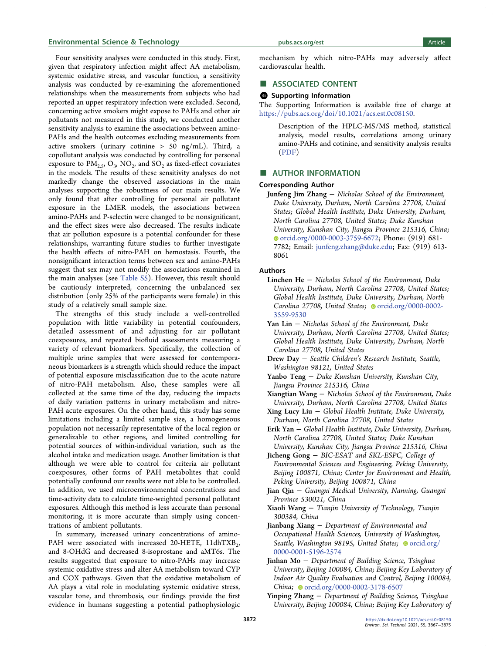### <span id="page-5-0"></span>Environmental Science & Technology environmental Science & Technology [pubs.acs.org/est](pubs.acs.org/est?ref=pdf) and pubs.acs.org/est Article

Four sensitivity analyses were conducted in this study. First, given that respiratory infection might affect AA metabolism, systemic oxidative stress, and vascular function, a sensitivity analysis was conducted by re-examining the aforementioned relationships when the measurements from subjects who had reported an upper respiratory infection were excluded. Second, concerning active smokers might expose to PAHs and other air pollutants not measured in this study, we conducted another sensitivity analysis to examine the associations between amino-PAHs and the health outcomes excluding measurements from active smokers (urinary cotinine  $> 50$  ng/mL). Third, a copollutant analysis was conducted by controlling for personal exposure to  $PM_{2.5}$ ,  $O_3$ ,  $NO_2$ , and  $SO_2$  as fixed-effect covariates in the models. The results of these sensitivity analyses do not markedly change the observed associations in the main analyses supporting the robustness of our main results. We only found that after controlling for personal air pollutant exposure in the LMER models, the associations between amino-PAHs and P-selectin were changed to be nonsignificant, and the effect sizes were also decreased. The results indicate that air pollution exposure is a potential confounder for these relationships, warranting future studies to further investigate the health effects of nitro-PAH on hemostasis. Fourth, the nonsignificant interaction terms between sex and amino-PAHs suggest that sex may not modify the associations examined in the main analyses (see [Table S5](http://pubs.acs.org/doi/suppl/10.1021/acs.est.0c08150/suppl_file/es0c08150_si_001.pdf)). However, this result should be cautiously interpreted, concerning the unbalanced sex distribution (only 25% of the participants were female) in this study of a relatively small sample size.

The strengths of this study include a well-controlled population with little variability in potential confounders, detailed assessment of and adjusting for air pollutant coexposures, and repeated biofluid assessments measuring a variety of relevant biomarkers. Specifically, the collection of multiple urine samples that were assessed for contemporaneous biomarkers is a strength which should reduce the impact of potential exposure misclassification due to the acute nature of nitro-PAH metabolism. Also, these samples were all collected at the same time of the day, reducing the impacts of daily variation patterns in urinary metabolism and nitro-PAH acute exposures. On the other hand, this study has some limitations including a limited sample size, a homogeneous population not necessarily representative of the local region or generalizable to other regions, and limited controlling for potential sources of within-individual variation, such as the alcohol intake and medication usage. Another limitation is that although we were able to control for criteria air pollutant coexposures, other forms of PAH metabolites that could potentially confound our results were not able to be controlled. In addition, we used microenvironmental concentrations and time-activity data to calculate time-weighted personal pollutant exposures. Although this method is less accurate than personal monitoring, it is more accurate than simply using concentrations of ambient pollutants.

In summary, increased urinary concentrations of amino-PAH were associated with increased 20-HETE,  $11 \text{dhTXB}_2$ , and 8-OHdG and decreased 8-isoprostane and aMT6s. The results suggested that exposure to nitro-PAHs may increase systemic oxidative stress and alter AA metabolism toward CYP and COX pathways. Given that the oxidative metabolism of AA plays a vital role in modulating systemic oxidative stress, vascular tone, and thrombosis, our findings provide the first evidence in humans suggesting a potential pathophysiologic

mechanism by which nitro-PAHs may adversely affect cardiovascular health.

# ■ ASSOCIATED CONTENT

### **6** Supporting Information

The Supporting Information is available free of charge at [https://pubs.acs.org/doi/10.1021/acs.est.0c08150](https://pubs.acs.org/doi/10.1021/acs.est.0c08150?goto=supporting-info).

Description of the HPLC-MS/MS method, statistical analysis, model results, correlations among urinary amino-PAHs and cotinine, and sensitivity analysis results ([PDF](http://pubs.acs.org/doi/suppl/10.1021/acs.est.0c08150/suppl_file/es0c08150_si_001.pdf))

### **AUTHOR INFORMATION**

### Corresponding Author

Junfeng Jim Zhang <sup>−</sup> Nicholas School of the Environment, Duke University, Durham, North Carolina 27708, United States; Global Health Institute, Duke University, Durham, North Carolina 27708, United States; Duke Kunshan University, Kunshan City, Jiangsu Province 215316, China; [orcid.org/0000-0003-3759-6672;](http://orcid.org/0000-0003-3759-6672) Phone: (919) 681- 7782; Email: [junfeng.zhang@duke.edu](mailto:junfeng.zhang@duke.edu); Fax: (919) 613- 8061

#### Authors

- Linchen He <sup>−</sup> Nicholas School of the Environment, Duke University, Durham, North Carolina 27708, United States; Global Health Institute, Duke University, Durham, North Carolina 27708, United States; Orcid.org/0000-0002-[3559-9530](http://orcid.org/0000-0002-3559-9530)
- Yan Lin <sup>−</sup> Nicholas School of the Environment, Duke University, Durham, North Carolina 27708, United States; Global Health Institute, Duke University, Durham, North Carolina 27708, United States
- Drew Day <sup>−</sup> Seattle Children's Research Institute, Seattle, Washington 98121, United States
- Yanbo Teng <sup>−</sup> Duke Kunshan University, Kunshan City, Jiangsu Province 215316, China
- Xiangtian Wang <sup>−</sup> Nicholas School of the Environment, Duke University, Durham, North Carolina 27708, United States
- $Xing Lucy Liu Global Health Institute, Duke University,$ Durham, North Carolina 27708, United States
- Erik Yan <sup>−</sup> Global Health Institute, Duke University, Durham, North Carolina 27708, United States; Duke Kunshan University, Kunshan City, Jiangsu Province 215316, China
- Jicheng Gong <sup>−</sup> BIC-ESAT and SKL-ESPC, College of Environmental Sciences and Engineering, Peking University, Beijing 100871, China; Center for Environment and Health, Peking University, Beijing 100871, China
- Jian Qin <sup>−</sup> Guangxi Medical University, Nanning, Guangxi Province 530021, China
- Xiaoli Wang <sup>−</sup> Tianjin University of Technology, Tianjin 300384, China
- Jianbang Xiang <sup>−</sup> Department of Environmental and Occupational Health Sciences, University of Washington, Seattle, Washington 98195, United States; [orcid.org/](http://orcid.org/0000-0001-5196-2574) [0000-0001-5196-2574](http://orcid.org/0000-0001-5196-2574)
- Jinhan Mo <sup>−</sup> Department of Building Science, Tsinghua University, Beijing 100084, China; Beijing Key Laboratory of Indoor Air Quality Evaluation and Control, Beijing 100084, China; [orcid.org/0000-0002-3178-6507](http://orcid.org/0000-0002-3178-6507)
- Yinping Zhang <sup>−</sup> Department of Building Science, Tsinghua University, Beijing 100084, China; Beijing Key Laboratory of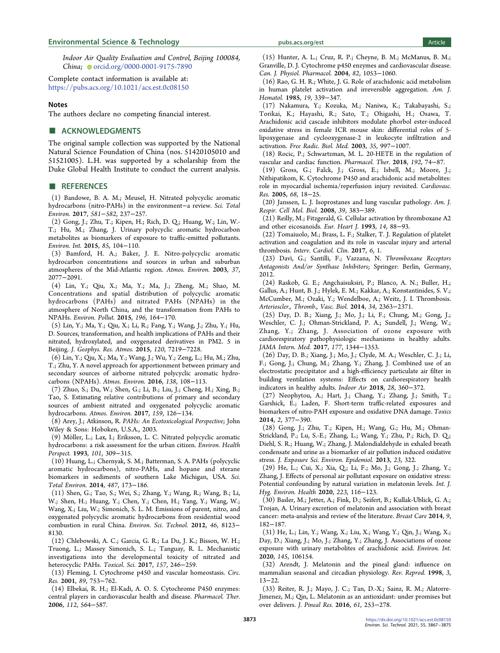<span id="page-6-0"></span>Indoor Air Quality Evaluation and Control, Beijing 100084, China; [orcid.org/0000-0001-9175-7890](http://orcid.org/0000-0001-9175-7890)

Complete contact information is available at: [https://pubs.acs.org/10.1021/acs.est.0c08150](https://pubs.acs.org/doi/10.1021/acs.est.0c08150?ref=pdf)

#### Notes

The authors declare no competing financial interest.

## **■ ACKNOWLEDGMENTS**

The original sample collection was supported by the National Natural Science Foundation of China (nos. 51420105010 and 51521005). L.H. was supported by a scholarship from the Duke Global Health Institute to conduct the current analysis.

### ■ REFERENCES

(1) Bandowe, B. A. M.; Meusel, H. [Nitrated polycyclic aromatic](https://dx.doi.org/10.1016/j.scitotenv.2016.12.115) [hydrocarbons \(nitro-PAHs\) in the environment](https://dx.doi.org/10.1016/j.scitotenv.2016.12.115)−a review. Sci. Total Environ. 2017, 581−582, 237−257.

(2) Gong, J.; Zhu, T.; Kipen, H.; Rich, D. Q.; Huang, W.; Lin, W.- T.; Hu, M.; Zhang, J[. Urinary polycyclic aromatic hydrocarbon](https://dx.doi.org/10.1016/j.envint.2015.09.003) [metabolites as biomarkers of exposure to traffic-emitted pollutants.](https://dx.doi.org/10.1016/j.envint.2015.09.003) Environ. Int. 2015, 85, 104−110.

(3) Bamford, H. A.; Baker, J. E. [Nitro-polycyclic aromatic](https://dx.doi.org/10.1016/S1352-2310(03)00102-X) [hydrocarbon concentrations and sources in urban and suburban](https://dx.doi.org/10.1016/S1352-2310(03)00102-X) [atmospheres of the Mid-Atlantic region.](https://dx.doi.org/10.1016/S1352-2310(03)00102-X) Atmos. Environ. 2003, 37, 2077−2091.

(4) Lin, Y.; Qiu, X.; Ma, Y.; Ma, J.; Zheng, M.; Shao, M. [Concentrations and spatial distribution of polycyclic aromatic](https://dx.doi.org/10.1016/j.envpol.2014.10.005) [hydrocarbons \(PAHs\) and nitrated PAHs \(NPAHs\) in the](https://dx.doi.org/10.1016/j.envpol.2014.10.005) [atmosphere of North China, and the transformation from PAHs to](https://dx.doi.org/10.1016/j.envpol.2014.10.005) [NPAHs.](https://dx.doi.org/10.1016/j.envpol.2014.10.005) Environ. Pollut. 2015, 196, 164−170.

(5) Lin, Y.; Ma, Y.; Qiu, X.; Li, R.; Fang, Y.; Wang, J.; Zhu, Y.; Hu, D. [Sources, transformation, and health implications of PAHs and their](https://dx.doi.org/10.1002/2015JD023628) [nitrated, hydroxylated, and oxygenated derivatives in PM2. 5 in](https://dx.doi.org/10.1002/2015JD023628) [Beijing.](https://dx.doi.org/10.1002/2015JD023628) J. Geophys. Res. Atmos. 2015, 120, 7219−7228.

(6) Lin, Y.; Qiu, X.; Ma, Y.; Wang, J.; Wu, Y.; Zeng, L.; Hu, M.; Zhu, T.; Zhu, Y. [A novel approach for apportionment between primary and](https://dx.doi.org/10.1016/j.atmosenv.2016.05.017) [secondary sources of airborne nitrated polycyclic aromatic hydro](https://dx.doi.org/10.1016/j.atmosenv.2016.05.017)[carbons \(NPAHs\).](https://dx.doi.org/10.1016/j.atmosenv.2016.05.017) Atmos. Environ. 2016, 138, 108−113.

(7) Zhuo, S.; Du, W.; Shen, G.; Li, B.; Liu, J.; Cheng, H.; Xing, B.; Tao, S[. Estimating relative contributions of primary and secondary](https://dx.doi.org/10.1016/j.atmosenv.2017.04.003) [sources of ambient nitrated and oxygenated polycyclic aromatic](https://dx.doi.org/10.1016/j.atmosenv.2017.04.003) [hydrocarbons.](https://dx.doi.org/10.1016/j.atmosenv.2017.04.003) Atmos. Environ. 2017, 159, 126−134.

(8) Arey, J.; Atkinson, R. PAHs: An Ecotoxicological Perspective; John Wiley & Sons: Hoboken, U.S.A., 2003.

(9) Möller, L.; Lax, I.; Eriksson, L. C. [Nitrated polycyclic aromatic](https://dx.doi.org/10.1289/ehp.101-1521131) [hydrocarbons: a risk assessment for the urban citizen.](https://dx.doi.org/10.1289/ehp.101-1521131) Environ. Health Perspect. 1993, 101, 309−315.

(10) Huang, L.; Chernyak, S. M.; Batterman, S. A. [PAHs \(polycyclic](https://dx.doi.org/10.1016/j.scitotenv.2014.03.131) [aromatic hydrocarbons\), nitro-PAHs, and hopane and sterane](https://dx.doi.org/10.1016/j.scitotenv.2014.03.131) [biomarkers in sediments of southern Lake Michigan, USA.](https://dx.doi.org/10.1016/j.scitotenv.2014.03.131) Sci. Total Environ. 2014, 487, 173−186.

(11) Shen, G.; Tao, S.; Wei, S.; Zhang, Y.; Wang, R.; Wang, B.; Li, W.; Shen, H.; Huang, Y.; Chen, Y.; Chen, H.; Yang, Y.; Wang, W.; Wang, X.; Liu, W.; Simonich, S. L. M. [Emissions of parent, nitro, and](https://dx.doi.org/10.1021/es301146v) [oxygenated polycyclic aromatic hydrocarbons from residential wood](https://dx.doi.org/10.1021/es301146v) [combustion in rural China.](https://dx.doi.org/10.1021/es301146v) Environ. Sci. Technol. 2012, 46, 8123− 8130.

(12) Chlebowski, A. C.; Garcia, G. R.; La Du, J. K.; Bisson, W. H.; Truong, L.; Massey Simonich, S. L.; Tanguay, R. L[. Mechanistic](https://dx.doi.org/10.1093/toxsci/kfx035) [investigations into the developmental toxicity of nitrated and](https://dx.doi.org/10.1093/toxsci/kfx035) [heterocyclic PAHs.](https://dx.doi.org/10.1093/toxsci/kfx035) Toxicol. Sci. 2017, 157, 246−259.

(13) Fleming, I. [Cytochrome p450 and vascular homeostasis.](https://dx.doi.org/10.1161/hh2101.099268) Circ. Res. 2001, 89, 753−762.

(14) Elbekai, R. H.; El-Kadi, A. O. S[. Cytochrome P450 enzymes:](https://dx.doi.org/10.1016/j.pharmthera.2005.05.011) [central players in cardiovascular health and disease.](https://dx.doi.org/10.1016/j.pharmthera.2005.05.011) Pharmacol. Ther. 2006, 112, 564−587.

(15) Hunter, A. L.; Cruz, R. P.; Cheyne, B. M.; McManus, B. M.; Granville, D. J. [Cytochrome p450 enzymes and cardiovascular disease.](https://dx.doi.org/10.1139/y04-118) Can. J. Physiol. Pharmacol. 2004, 82, 1053−1060.

(16) Rao, G. H. R.; White, J. G[. Role of arachidonic acid metabolism](https://dx.doi.org/10.1002/ajh.2830190404) [in human platelet activation and irreversible aggregation.](https://dx.doi.org/10.1002/ajh.2830190404) Am. J. Hematol. 1985, 19, 339−347.

(17) Nakamura, Y.; Kozuka, M.; Naniwa, K.; Takabayashi, S.; Torikai, K.; Hayashi, R.; Sato, T.; Ohigashi, H.; Osawa, T. [Arachidonic acid cascade inhibitors modulate phorbol ester-induced](https://dx.doi.org/10.1016/s0891-5849(03)00440-4) [oxidative stress in female ICR mouse skin: differential roles of 5](https://dx.doi.org/10.1016/s0891-5849(03)00440-4) [lipoxygenase and cyclooxygenase-2 in leukocyte infiltration and](https://dx.doi.org/10.1016/s0891-5849(03)00440-4) [activation.](https://dx.doi.org/10.1016/s0891-5849(03)00440-4) Free Radic. Biol. Med. 2003, 35, 997−1007.

(18) Rocic, P.; Schwartzman, M. L[. 20-HETE in the regulation of](https://dx.doi.org/10.1016/j.pharmthera.2018.07.004) [vascular and cardiac function.](https://dx.doi.org/10.1016/j.pharmthera.2018.07.004) Pharmacol. Ther. 2018, 192, 74−87.

(19) Gross, G.; Falck, J.; Gross, E.; Isbell, M.; Moore, J.; Nithipatikom, K[. Cytochrome P450 and arachidonic acid metabolites:](https://dx.doi.org/10.1016/j.cardiores.2005.06.007) [role in myocardial ischemia/reperfusion injury revisited.](https://dx.doi.org/10.1016/j.cardiores.2005.06.007) Cardiovasc. Res. 2005, 68, 18−25.

(20) Janssen, L. J[. Isoprostanes and lung vascular pathology.](https://dx.doi.org/10.1165/rcmb.2008-0109TR) Am. J. Respir. Cell Mol. Biol. 2008, 39, 383−389.

(21) Reilly, M.; Fitzgerald, G. Cellular activation by thromboxane A2 and other eicosanoids. Eur. Heart J. 1993, 14, 88−93.

(22) Tomaiuolo, M.; Brass, L. F.; Stalker, T. J[. Regulation of platelet](https://dx.doi.org/10.1016/j.iccl.2016.08.001) [activation and coagulation and its role in vascular injury and arterial](https://dx.doi.org/10.1016/j.iccl.2016.08.001) [thrombosis.](https://dx.doi.org/10.1016/j.iccl.2016.08.001) Interv. Cardiol. Clin. 2017, 6, 1.

(23) Davì, G.; Santilli, F.; Vazzana, N. Thromboxane Receptors Antagonists And/or Synthase Inhibitors; Springer: Berlin, Germany, 2012.

(24) Raskob, G. E.; Angchaisuksiri, P.; Blanco, A. N.; Buller, H.; Gallus, A.; Hunt, B. J.; Hylek, E. M.; Kakkar, A.; Konstantinides, S. V.; McCumber, M.; Ozaki, Y.; Wendelboe, A.; Weitz, J. I. [Thrombosis.](https://dx.doi.org/10.1161/atvbaha.114.304488) Arterioscler., Thromb., Vasc. Biol. 2014, 34, 2363−2371.

(25) Day, D. B.; Xiang, J.; Mo, J.; Li, F.; Chung, M.; Gong, J.; Weschler, C. J.; Ohman-Strickland, P. A.; Sundell, J.; Weng, W.; Zhang, Y.; Zhang, J. [Association of ozone exposure with](https://dx.doi.org/10.1001/jamainternmed.2017.2842) [cardiorespiratory pathophysiologic mechanisms in healthy adults.](https://dx.doi.org/10.1001/jamainternmed.2017.2842) JAMA Intern. Med. 2017, 177, 1344−1353.

(26) Day, D. B.; Xiang, J.; Mo, J.; Clyde, M. A.; Weschler, C. J.; Li, F.; Gong, J.; Chung, M.; Zhang, Y.; Zhang, J. [Combined use of an](https://dx.doi.org/10.1111/ina.12447) [electrostatic precipitator and a high-efficiency particulate air filter in](https://dx.doi.org/10.1111/ina.12447) [building ventilation systems: Effects on cardiorespiratory health](https://dx.doi.org/10.1111/ina.12447) [indicators in healthy adults.](https://dx.doi.org/10.1111/ina.12447) Indoor Air 2018, 28, 360−372.

(27) Neophytou, A.; Hart, J.; Chang, Y.; Zhang, J.; Smith, T.; Garshick, E.; Laden, F. [Short-term traffic-related exposures and](https://dx.doi.org/10.3390/toxics2030377) [biomarkers of nitro-PAH exposure and oxidative DNA damage.](https://dx.doi.org/10.3390/toxics2030377) Toxics 2014, 2, 377−390.

(28) Gong, J.; Zhu, T.; Kipen, H.; Wang, G.; Hu, M.; Ohman-Strickland, P.; Lu, S.-E.; Zhang, L.; Wang, Y.; Zhu, P.; Rich, D. Q.; Diehl, S. R.; Huang, W.; Zhang, J[. Malondialdehyde in exhaled breath](https://dx.doi.org/10.1038/jes.2012.127) [condensate and urine as a biomarker of air pollution induced oxidative](https://dx.doi.org/10.1038/jes.2012.127) [stress.](https://dx.doi.org/10.1038/jes.2012.127) J. Exposure Sci. Environ. Epidemiol. 2013, 23, 322.

(29) He, L.; Cui, X.; Xia, Q.; Li, F.; Mo, J.; Gong, J.; Zhang, Y.; Zhang, J[. Effects of personal air pollutant exposure on oxidative stress:](https://dx.doi.org/10.1016/j.ijheh.2019.09.012) [Potential confounding by natural variation in melatonin levels.](https://dx.doi.org/10.1016/j.ijheh.2019.09.012) Int. J. Hyg. Environ. Health 2020, 223, 116−123.

(30) Basler, M.; Jetter, A.; Fink, D.; Seifert, B.; Kullak-Ublick, G. A.; Trojan, A. [Urinary excretion of melatonin and association with breast](https://dx.doi.org/10.1159/000363426) [cancer: meta-analysis and review of the literature.](https://dx.doi.org/10.1159/000363426) Breast Care 2014, 9, 182−187.

(31) He, L.; Lin, Y.; Wang, X.; Liu, X.; Wang, Y.; Qin, J.; Wang, X.; Day, D.; Xiang, J.; Mo, J.; Zhang, Y.; Zhang, J. [Associations of ozone](https://dx.doi.org/10.1016/j.envint.2020.106154) [exposure with urinary metabolites of arachidonic acid.](https://dx.doi.org/10.1016/j.envint.2020.106154) Environ. Int. 2020, 145, 106154.

(32) Arendt, J. [Melatonin and the pineal gland: influence on](https://dx.doi.org/10.1530/revreprod/3.1.13) [mammalian seasonal and circadian physiology.](https://dx.doi.org/10.1530/revreprod/3.1.13) Rev. Reprod. 1998, 3, 13−22.

(33) Reiter, R. J.; Mayo, J. C.; Tan, D.-X.; Sainz, R. M.; Alatorre-Jimenez, M.; Qin, L. [Melatonin as an antioxidant: under promises but](https://dx.doi.org/10.1111/jpi.12360) [over delivers.](https://dx.doi.org/10.1111/jpi.12360) J. Pineal Res. 2016, 61, 253−278.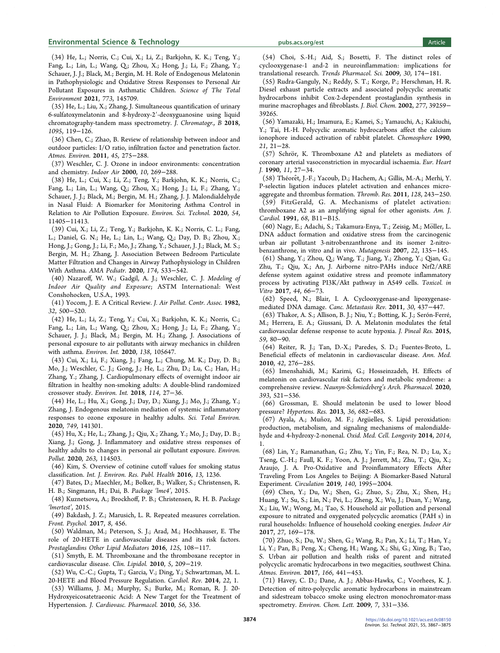### <span id="page-7-0"></span>Environmental Science & Technology and the [pubs.acs.org/est](pubs.acs.org/est?ref=pdf) and the pubs.acs.org/est Article

(34) He, L.; Norris, C.; Cui, X.; Li, Z.; Barkjohn, K. K.; Teng, Y.; Fang, L.; Lin, L.; Wang, Q.; Zhou, X.; Hong, J.; Li, F.; Zhang, Y.; Schauer, J. J.; Black, M.; Bergin, M. H[. Role of Endogenous Melatonin](https://dx.doi.org/10.1016/j.scitotenv.2021.145709) [in Pathophysiologic and Oxidative Stress Responses to Personal Air](https://dx.doi.org/10.1016/j.scitotenv.2021.145709) [Pollutant Exposures in Asthmatic Children.](https://dx.doi.org/10.1016/j.scitotenv.2021.145709) Science of The Total Environment 2021, 773, 145709.

(35) He, L.; Liu, X.; Zhang, J. [Simultaneous quantification of urinary](https://dx.doi.org/10.1016/j.jchromb.2018.07.035) [6-sulfatoxymelatonin and 8-hydroxy-2](https://dx.doi.org/10.1016/j.jchromb.2018.07.035)′-deoxyguanosine using liquid [chromatography-tandem mass spectrometry.](https://dx.doi.org/10.1016/j.jchromb.2018.07.035) J. Chromatogr., B 2018, 1095, 119−126.

(36) Chen, C.; Zhao, B. [Review of relationship between indoor and](https://dx.doi.org/10.1016/j.atmosenv.2010.09.048) [outdoor particles: I/O ratio, infiltration factor and penetration factor.](https://dx.doi.org/10.1016/j.atmosenv.2010.09.048) Atmos. Environ. 2011, 45, 275−288.

(37) Weschler, C. J. [Ozone in indoor environments: concentration](https://dx.doi.org/10.1034/j.1600-0668.2000.010004269.x) [and chemistry.](https://dx.doi.org/10.1034/j.1600-0668.2000.010004269.x) Indoor Air 2000, 10, 269−288.

(38) He, L.; Cui, X.; Li, Z.; Teng, Y.; Barkjohn, K. K.; Norris, C.; Fang, L.; Lin, L.; Wang, Q.; Zhou, X.; Hong, J.; Li, F.; Zhang, Y.; Schauer, J. J.; Black, M.; Bergin, M. H.; Zhang, J. J[. Malondialdehyde](https://dx.doi.org/10.1021/acs.est.0c02558) [in Nasal Fluid: A Biomarker for Monitoring Asthma Control in](https://dx.doi.org/10.1021/acs.est.0c02558) [Relation to Air Pollution Exposure.](https://dx.doi.org/10.1021/acs.est.0c02558) Environ. Sci. Technol. 2020, 54, 11405−11413.

(39) Cui, X.; Li, Z.; Teng, Y.; Barkjohn, K. K.; Norris, C. L.; Fang, L.; Daniel, G. N.; He, L.; Lin, L.; Wang, Q.; Day, D. B.; Zhou, X.; Hong, J.; Gong, J.; Li, F.; Mo, J.; Zhang, Y.; Schauer, J. J.; Black, M. S.; Bergin, M. H.; Zhang, J. [Association Between Bedroom Particulate](https://dx.doi.org/10.1001/jamapediatrics.2020.0140) [Matter Filtration and Changes in Airway Pathophysiology in Children](https://dx.doi.org/10.1001/jamapediatrics.2020.0140) [With Asthma.](https://dx.doi.org/10.1001/jamapediatrics.2020.0140) AMA Pediatr. 2020, 174, 533−542.

(40) Nazaroff, W. W.; Gadgil, A. J.; Weschler, C. J. Modeling of Indoor Air Quality and Exposure; ASTM International: West Conshohocken, U.S.A., 1993.

(41) Yocom, J. E[. A Critical Review.](https://dx.doi.org/10.1080/00022470.1982.10465427) J. Air Pollut. Contr. Assoc. 1982, 32, 500−520.

(42) He, L.; Li, Z.; Teng, Y.; Cui, X.; Barkjohn, K. K.; Norris, C.; Fang, L.; Lin, L.; Wang, Q.; Zhou, X.; Hong, J.; Li, F.; Zhang, Y.; Schauer, J. J.; Black, M.; Bergin, M. H.; Zhang, J[. Associations of](https://dx.doi.org/10.1016/j.envint.2020.105647) [personal exposure to air pollutants with airway mechanics in children](https://dx.doi.org/10.1016/j.envint.2020.105647) [with asthma.](https://dx.doi.org/10.1016/j.envint.2020.105647) Environ. Int. 2020, 138, 105647.

(43) Cui, X.; Li, F.; Xiang, J.; Fang, L.; Chung, M. K.; Day, D. B.; Mo, J.; Weschler, C. J.; Gong, J.; He, L.; Zhu, D.; Lu, C.; Han, H.; Zhang, Y.; Zhang, J[. Cardiopulmonary effects of overnight indoor air](https://dx.doi.org/10.1016/j.envint.2018.02.010) [filtration in healthy non-smoking adults: A double-blind randomized](https://dx.doi.org/10.1016/j.envint.2018.02.010) [crossover study.](https://dx.doi.org/10.1016/j.envint.2018.02.010) Environ. Int. 2018, 114, 27−36.

(44) He, L.; Hu, X.; Gong, J.; Day, D.; Xiang, J.; Mo, J.; Zhang, Y.; Zhang, J. [Endogenous melatonin mediation of systemic inflammatory](https://dx.doi.org/10.1016/j.scitotenv.2020.141301) [responses to ozone exposure in healthy adults.](https://dx.doi.org/10.1016/j.scitotenv.2020.141301) Sci. Total Environ. 2020, 749, 141301.

(45) Hu, X.; He, L.; Zhang, J.; Qiu, X.; Zhang, Y.; Mo, J.; Day, D. B.; Xiang, J.; Gong, J[. Inflammatory and oxidative stress responses of](https://dx.doi.org/10.1016/j.envpol.2020.114503) [healthy adults to changes in personal air pollutant exposure.](https://dx.doi.org/10.1016/j.envpol.2020.114503) Environ. Pollut. 2020, 263, 114503.

(46) Kim, S[. Overview of cotinine cutoff values for smoking status](https://dx.doi.org/10.3390/ijerph13121236) [classification.](https://dx.doi.org/10.3390/ijerph13121236) Int. J. Environ. Res. Publ. Health 2016, 13, 1236.

(47) Bates, D.; Maechler, M.; Bolker, B.; Walker, S.; Christensen, R. H. B.; Singmann, H.; Dai, B. Package 'lme4', 2015.

(48) Kuznetsova, A.; Brockhoff, P. B.; Christensen, R. H. B. Package 'lmertest', 2015.

(49) Bakdash, J. Z.; Marusich, L. R. [Repeated measures correlation.](https://dx.doi.org/10.3389/fpsyg.2017.00456) Front. Psychol. 2017, 8, 456.

(50) Waldman, M.; Peterson, S. J.; Arad, M.; Hochhauser, E[. The](https://dx.doi.org/10.1016/j.prostaglandins.2016.05.007) [role of 20-HETE in cardiovascular diseases and its risk factors.](https://dx.doi.org/10.1016/j.prostaglandins.2016.05.007) Prostaglandins Other Lipid Mediators 2016, 125, 108−117.

(51) Smyth, E. M. [Thromboxane and the thromboxane receptor in](https://dx.doi.org/10.2217/clp.10.11) [cardiovascular disease.](https://dx.doi.org/10.2217/clp.10.11) Clin. Lipidol. 2010, 5, 209−219.

(52) Wu, C.-C.; Gupta, T.; Garcia, V.; Ding, Y.; Schwartzman, M. L. [20-HETE and Blood Pressure Regulation.](https://dx.doi.org/10.1097/cRD.0b013e3182961659) Cardiol. Rev. 2014, 22, 1.

(53) Williams, J. M.; Murphy, S.; Burke, M.; Roman, R. J. [20-](https://dx.doi.org/10.1097/FJC.0b013e3181f04b1c) [Hydroxyeicosatetraeonic Acid: A New Target for the Treatment of](https://dx.doi.org/10.1097/FJC.0b013e3181f04b1c) [Hypertension.](https://dx.doi.org/10.1097/FJC.0b013e3181f04b1c) J. Cardiovasc. Pharmacol. 2010, 56, 336.

(54) Choi, S.-H.; Aid, S.; Bosetti, F. [The distinct roles of](https://dx.doi.org/10.1016/j.tips.2009.01.002) [cyclooxygenase-1 and-2 in neuroinflammation: implications for](https://dx.doi.org/10.1016/j.tips.2009.01.002) [translational research.](https://dx.doi.org/10.1016/j.tips.2009.01.002) Trends Pharmacol. Sci. 2009, 30, 174−181.

(55) Rudra-Ganguly, N.; Reddy, S. T.; Korge, P.; Herschman, H. R. [Diesel exhaust particle extracts and associated polycyclic aromatic](https://dx.doi.org/10.1074/jbc.M110215200) [hydrocarbons inhibit Cox-2-dependent prostaglandin synthesis in](https://dx.doi.org/10.1074/jbc.M110215200) [murine macrophages and fibroblasts.](https://dx.doi.org/10.1074/jbc.M110215200) J. Biol. Chem. 2002, 277, 39259− 39265.

(56) Yamazaki, H.; Imamura, E.; Kamei, S.; Yamauchi, A.; Kakiuchi, Y.; Tai, H.-H. [Polycyclic aromatic hydrocarbons affect the calcium](https://dx.doi.org/10.1016/0045-6535(90)90373-2) [ionophore induced activation of rabbit platelet.](https://dx.doi.org/10.1016/0045-6535(90)90373-2) Chemosphere 1990, 21, 21−28.

(57) Schrör, K. [Thromboxane A2 and platelets as mediators of](https://dx.doi.org/10.1093/eurheartj/11.suppl_b.27) [coronary arterial vasoconstriction in myocardial ischaemia.](https://dx.doi.org/10.1093/eurheartj/11.suppl_b.27) Eur. Heart J. 1990, 11, 27−34.

(58) Théorêt, J.-F.; Yacoub, D.; Hachem, A.; Gillis, M.-A.; Merhi, Y. [P-selectin ligation induces platelet activation and enhances micro](https://dx.doi.org/10.1016/j.thromres.2011.04.018)[aggregate and thrombus formation.](https://dx.doi.org/10.1016/j.thromres.2011.04.018) Thromb. Res. 2011, 128, 243−250. (59) FitzGerald, G. A. [Mechanisms of platelet activation:](https://dx.doi.org/10.1016/0002-9149(91)90379-y) [thromboxane A2 as an amplifying signal for other agonists.](https://dx.doi.org/10.1016/0002-9149(91)90379-y) Am. J. Cardiol. 1991, 68, B11−B15.

(60) Nagy, E.; Adachi, S.; Takamura-Enya, T.; Zeisig, M.; Möller, L. [DNA adduct formation and oxidative stress from the carcinogenic](https://dx.doi.org/10.1093/mutage/gel067) [urban air pollutant 3-nitrobenzanthrone and its isomer 2-nitro](https://dx.doi.org/10.1093/mutage/gel067)[benzanthrone, in vitro and in vivo.](https://dx.doi.org/10.1093/mutage/gel067) Mutagenesis 2007, 22, 135−145.

(61) Shang, Y.; Zhou, Q.; Wang, T.; Jiang, Y.; Zhong, Y.; Qian, G.; Zhu, T.; Qiu, X.; An, J. [Airborne nitro-PAHs induce Nrf2/ARE](https://dx.doi.org/10.1016/j.tiv.2017.06.017) [defense system against oxidative stress and promote inflammatory](https://dx.doi.org/10.1016/j.tiv.2017.06.017) [process by activating PI3K/Akt pathway in A549 cells.](https://dx.doi.org/10.1016/j.tiv.2017.06.017) Toxicol. in Vitro 2017, 44, 66−73.

(62) Speed, N.; Blair, I. A. [Cyclooxygenase-and lipoxygenase](https://dx.doi.org/10.1007/s10555-011-9298-8)[mediated DNA damage.](https://dx.doi.org/10.1007/s10555-011-9298-8) Canc. Metastasis Rev. 2011, 30, 437−447.

(63) Thakor, A. S.; Allison, B. J.; Niu, Y.; Botting, K. J.; Serón-Ferré, M.; Herrera, E. A.; Giussani, D. A[. Melatonin modulates the fetal](https://dx.doi.org/10.1111/jpi.12242) [cardiovascular defense response to acute hypoxia.](https://dx.doi.org/10.1111/jpi.12242) J. Pineal Res. 2015, 59, 80−90.

(64) Reiter, R. J.; Tan, D.-X.; Paredes, S. D.; Fuentes-Broto, L. [Beneficial effects of melatonin in cardiovascular disease.](https://dx.doi.org/10.3109/07853890903485748) Ann. Med. 2010, 42, 276−285.

(65) Imenshahidi, M.; Karimi, G.; Hosseinzadeh, H. [Effects of](https://dx.doi.org/10.1007/s00210-020-01822-4) [melatonin on cardiovascular risk factors and metabolic syndrome: a](https://dx.doi.org/10.1007/s00210-020-01822-4) [comprehensive review.](https://dx.doi.org/10.1007/s00210-020-01822-4) Naunyn-Schmiedeberg's Arch. Pharmacol. 2020, 393, 521−536.

(66) Grossman, E. [Should melatonin be used to lower blood](https://dx.doi.org/10.1038/hr.2013.29) [pressure?](https://dx.doi.org/10.1038/hr.2013.29) Hypertens. Res. 2013, 36, 682−683.

(67) Ayala, A.; Muñoz, M. F.; Argüelles, S. [Lipid peroxidation:](https://dx.doi.org/10.1155/2014/360438) [production, metabolism, and signaling mechanisms of malondialde](https://dx.doi.org/10.1155/2014/360438)[hyde and 4-hydroxy-2-nonenal.](https://dx.doi.org/10.1155/2014/360438) Oxid. Med. Cell. Longevity 2014, 2014, 1.

(68) Lin, Y.; Ramanathan, G.; Zhu, Y.; Yin, F.; Rea, N. D.; Lu, X.; Tseng, C.-H.; Faull, K. F.; Yoon, A. J.; Jerrett, M.; Zhu, T.; Qiu, X.; Araujo, J. A. [Pro-Oxidative and Proinflammatory Effects After](https://dx.doi.org/10.1161/CIRCULATIONAHA.119.042054) [Traveling From Los Angeles to Beijing: A Biomarker-Based Natural](https://dx.doi.org/10.1161/CIRCULATIONAHA.119.042054) [Experiment.](https://dx.doi.org/10.1161/CIRCULATIONAHA.119.042054) Circulation 2019, 140, 1995−2004.

(69) Chen, Y.; Du, W.; Shen, G.; Zhuo, S.; Zhu, X.; Shen, H.; Huang, Y.; Su, S.; Lin, N.; Pei, L.; Zheng, X.; Wu, J.; Duan, Y.; Wang, X.; Liu, W.; Wong, M.; Tao, S[. Household air pollution and personal](https://dx.doi.org/10.1111/ina.12300) [exposure to nitrated and oxygenated polycyclic aromatics \(PAH s\) in](https://dx.doi.org/10.1111/ina.12300) [rural households: Influence of household cooking energies.](https://dx.doi.org/10.1111/ina.12300) Indoor Air 2017, 27, 169−178.

(70) Zhuo, S.; Du, W.; Shen, G.; Wang, R.; Pan, X.; Li, T.; Han, Y.; Li, Y.; Pan, B.; Peng, X.; Cheng, H.; Wang, X.; Shi, G.; Xing, B.; Tao, S. [Urban air pollution and health risks of parent and nitrated](https://dx.doi.org/10.1016/j.atmosenv.2017.07.051) [polycyclic aromatic hydrocarbons in two megacities, southwest China.](https://dx.doi.org/10.1016/j.atmosenv.2017.07.051) Atmos. Environ. 2017, 166, 441−453.

(71) Havey, C. D.; Dane, A. J.; Abbas-Hawks, C.; Voorhees, K. J. [Detection of nitro-polycyclic aromatic hydrocarbons in mainstream](https://dx.doi.org/10.1007/s10311-008-0174-x) [and sidestream tobacco smoke using electron monochromator-mass](https://dx.doi.org/10.1007/s10311-008-0174-x) [spectrometry.](https://dx.doi.org/10.1007/s10311-008-0174-x) Environ. Chem. Lett. 2009, 7, 331−336.